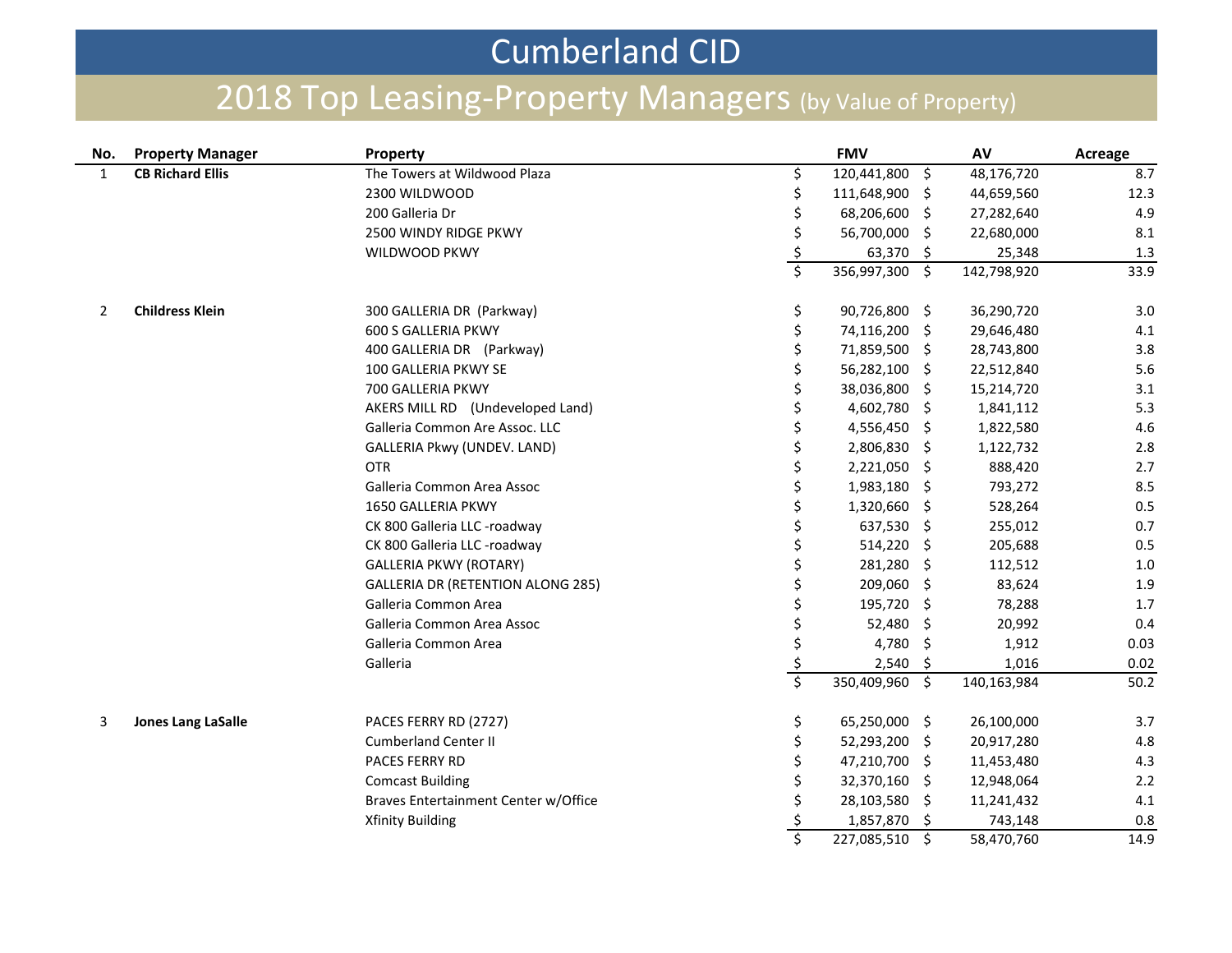## Cumberland CID

## 2018 Top Leasing-Property Managers (by Value of Property)

| No.            | <b>Property Manager</b>   | Property                                 |                         | <b>FMV</b>        | AV          | Acreage |
|----------------|---------------------------|------------------------------------------|-------------------------|-------------------|-------------|---------|
| $\mathbf{1}$   | <b>CB Richard Ellis</b>   | The Towers at Wildwood Plaza             | \$                      | 120,441,800 \$    | 48,176,720  | 8.7     |
|                |                           | 2300 WILDWOOD                            | \$                      | 111,648,900 \$    | 44,659,560  | 12.3    |
|                |                           | 200 Galleria Dr                          | \$                      | 68,206,600 \$     | 27,282,640  | 4.9     |
|                |                           | 2500 WINDY RIDGE PKWY                    | \$                      | 56,700,000 \$     | 22,680,000  | 8.1     |
|                |                           | WILDWOOD PKWY                            |                         | 63,370 \$         | 25,348      | 1.3     |
|                |                           |                                          | $\overline{\xi}$        | 356,997,300 \$    | 142,798,920 | 33.9    |
| $\overline{2}$ | <b>Childress Klein</b>    | 300 GALLERIA DR (Parkway)                | \$                      | 90,726,800 \$     | 36,290,720  | 3.0     |
|                |                           | <b>600 S GALLERIA PKWY</b>               | \$                      | 74,116,200 \$     | 29,646,480  | 4.1     |
|                |                           | 400 GALLERIA DR (Parkway)                | \$                      | 71,859,500 \$     | 28,743,800  | 3.8     |
|                |                           | 100 GALLERIA PKWY SE                     | \$                      | 56,282,100 \$     | 22,512,840  | 5.6     |
|                |                           | 700 GALLERIA PKWY                        | \$                      | 38,036,800 \$     | 15,214,720  | 3.1     |
|                |                           | AKERS MILL RD (Undeveloped Land)         |                         | 4,602,780 \$      | 1,841,112   | 5.3     |
|                |                           | Galleria Common Are Assoc. LLC           |                         | 4,556,450 \$      | 1,822,580   | 4.6     |
|                |                           | GALLERIA Pkwy (UNDEV. LAND)              |                         | 2,806,830 \$      | 1,122,732   | 2.8     |
|                |                           | <b>OTR</b>                               |                         | 2,221,050 \$      | 888,420     | 2.7     |
|                |                           | Galleria Common Area Assoc               |                         | 1,983,180 \$      | 793,272     | 8.5     |
|                |                           | 1650 GALLERIA PKWY                       | \$                      | 1,320,660 \$      | 528,264     | 0.5     |
|                |                           | CK 800 Galleria LLC -roadway             | \$                      | 637,530 \$        | 255,012     | 0.7     |
|                |                           | CK 800 Galleria LLC -roadway             | \$                      | 514,220 \$        | 205,688     | 0.5     |
|                |                           | <b>GALLERIA PKWY (ROTARY)</b>            | \$                      | 281,280 \$        | 112,512     | 1.0     |
|                |                           | <b>GALLERIA DR (RETENTION ALONG 285)</b> | \$                      | 209,060 \$        | 83,624      | 1.9     |
|                |                           | Galleria Common Area                     | \$                      | 195,720 \$        | 78,288      | 1.7     |
|                |                           | Galleria Common Area Assoc               | \$                      | 52,480 \$         | 20,992      | 0.4     |
|                |                           | Galleria Common Area                     | \$                      | 4,780 \$          | 1,912       | 0.03    |
|                |                           | Galleria                                 | $rac{\xi}{\xi}$         | $2,540$ \$        | 1,016       | 0.02    |
|                |                           |                                          |                         | 350,409,960 \$    | 140,163,984 | 50.2    |
| 3              | <b>Jones Lang LaSalle</b> | PACES FERRY RD (2727)                    | \$                      | 65,250,000 \$     | 26,100,000  | 3.7     |
|                |                           | <b>Cumberland Center II</b>              | \$                      | 52,293,200 \$     | 20,917,280  | 4.8     |
|                |                           | PACES FERRY RD                           |                         | 47,210,700 \$     | 11,453,480  | 4.3     |
|                |                           | <b>Comcast Building</b>                  |                         | 32,370,160 \$     | 12,948,064  | 2.2     |
|                |                           | Braves Entertainment Center w/Office     |                         | 28,103,580 \$     | 11,241,432  | 4.1     |
|                |                           | <b>Xfinity Building</b>                  |                         | 1,857,870<br>\$.  | 743,148     | 0.8     |
|                |                           |                                          | $\overline{\mathsf{S}}$ | 227,085,510<br>Ŝ. | 58,470,760  | 14.9    |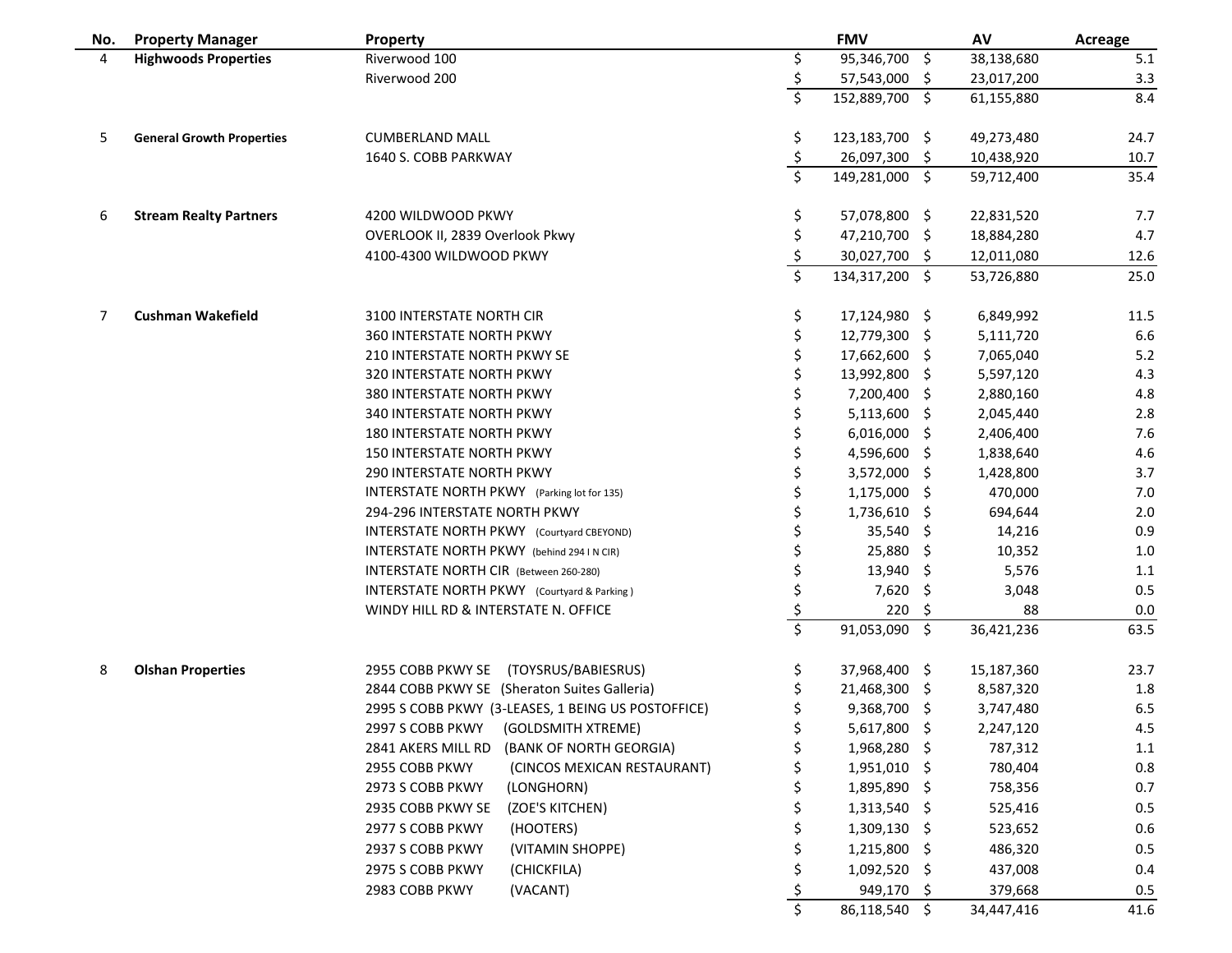| No. | <b>Property Manager</b>          | Property                                           |                         | <b>FMV</b>     |    | AV         | Acreage |
|-----|----------------------------------|----------------------------------------------------|-------------------------|----------------|----|------------|---------|
| 4   | <b>Highwoods Properties</b>      | Riverwood 100                                      | \$                      | 95,346,700 \$  |    | 38,138,680 | 5.1     |
|     |                                  | Riverwood 200                                      | \$                      | 57,543,000 \$  |    | 23,017,200 | 3.3     |
|     |                                  |                                                    | \$                      | 152,889,700 \$ |    | 61,155,880 | 8.4     |
| 5   | <b>General Growth Properties</b> | <b>CUMBERLAND MALL</b>                             | Ş                       | 123,183,700 \$ |    | 49,273,480 | 24.7    |
|     |                                  | 1640 S. COBB PARKWAY                               | \$                      | 26,097,300 \$  |    | 10,438,920 | 10.7    |
|     |                                  |                                                    | \$                      | 149,281,000 \$ |    | 59,712,400 | 35.4    |
| 6   | <b>Stream Realty Partners</b>    | 4200 WILDWOOD PKWY                                 | \$                      | 57,078,800 \$  |    | 22,831,520 | 7.7     |
|     |                                  | OVERLOOK II, 2839 Overlook Pkwy                    | \$                      | 47,210,700 \$  |    | 18,884,280 | 4.7     |
|     |                                  | 4100-4300 WILDWOOD PKWY                            | \$                      | 30,027,700 \$  |    | 12,011,080 | 12.6    |
|     |                                  |                                                    | \$                      | 134,317,200 \$ |    | 53,726,880 | 25.0    |
| 7   | <b>Cushman Wakefield</b>         | 3100 INTERSTATE NORTH CIR                          | \$                      | 17,124,980 \$  |    | 6,849,992  | 11.5    |
|     |                                  | <b>360 INTERSTATE NORTH PKWY</b>                   | \$                      | 12,779,300 \$  |    | 5,111,720  | 6.6     |
|     |                                  | <b>210 INTERSTATE NORTH PKWY SE</b>                | \$                      | 17,662,600 \$  |    | 7,065,040  | 5.2     |
|     |                                  | 320 INTERSTATE NORTH PKWY                          |                         | 13,992,800 \$  |    | 5,597,120  | 4.3     |
|     |                                  | <b>380 INTERSTATE NORTH PKWY</b>                   |                         | 7,200,400 \$   |    | 2,880,160  | 4.8     |
|     |                                  | <b>340 INTERSTATE NORTH PKWY</b>                   |                         | 5,113,600 \$   |    | 2,045,440  | 2.8     |
|     |                                  | <b>180 INTERSTATE NORTH PKWY</b>                   |                         | $6,016,000$ \$ |    | 2,406,400  | 7.6     |
|     |                                  | <b>150 INTERSTATE NORTH PKWY</b>                   |                         | 4,596,600 \$   |    | 1,838,640  | 4.6     |
|     |                                  | <b>290 INTERSTATE NORTH PKWY</b>                   |                         | 3,572,000 \$   |    | 1,428,800  | 3.7     |
|     |                                  | <b>INTERSTATE NORTH PKWY</b> (Parking lot for 135) |                         | 1,175,000 \$   |    | 470,000    | 7.0     |
|     |                                  | 294-296 INTERSTATE NORTH PKWY                      |                         | 1,736,610 \$   |    | 694,644    | 2.0     |
|     |                                  | INTERSTATE NORTH PKWY (Courtyard CBEYOND)          |                         | 35,540 \$      |    | 14,216     | 0.9     |
|     |                                  | INTERSTATE NORTH PKWY (behind 294 I N CIR)         |                         | 25,880 \$      |    | 10,352     | 1.0     |
|     |                                  | INTERSTATE NORTH CIR (Between 260-280)             |                         | 13,940 \$      |    | 5,576      | 1.1     |
|     |                                  | INTERSTATE NORTH PKWY (Courtyard & Parking)        |                         | 7,620 \$       |    | 3,048      | 0.5     |
|     |                                  | WINDY HILL RD & INTERSTATE N. OFFICE               |                         | 220            | Ŝ. | 88         | 0.0     |
|     |                                  |                                                    | $\overline{\mathsf{S}}$ | 91,053,090 \$  |    | 36,421,236 | 63.5    |
| 8   | <b>Olshan Properties</b>         | 2955 COBB PKWY SE (TOYSRUS/BABIESRUS)              | \$                      | 37,968,400 \$  |    | 15,187,360 | 23.7    |
|     |                                  | 2844 COBB PKWY SE (Sheraton Suites Galleria)       |                         | 21,468,300 \$  |    | 8,587,320  | 1.8     |
|     |                                  | 2995 S COBB PKWY (3-LEASES, 1 BEING US POSTOFFICE) |                         | 9,368,700 \$   |    | 3,747,480  | 6.5     |
|     |                                  | 2997 S COBB PKWY (GOLDSMITH XTREME)                |                         | 5,617,800 \$   |    | 2,247,120  | 4.5     |
|     |                                  | (BANK OF NORTH GEORGIA)<br>2841 AKERS MILL RD      |                         | 1,968,280 \$   |    | 787,312    | 1.1     |
|     |                                  | (CINCOS MEXICAN RESTAURANT)<br>2955 COBB PKWY      |                         | $1,951,010$ \$ |    | 780,404    | 0.8     |
|     |                                  | 2973 S COBB PKWY<br>(LONGHORN)                     |                         | 1,895,890 \$   |    | 758,356    | 0.7     |
|     |                                  | (ZOE'S KITCHEN)<br>2935 COBB PKWY SE               |                         | $1,313,540$ \$ |    | 525,416    | 0.5     |
|     |                                  | 2977 S COBB PKWY<br>(HOOTERS)                      |                         | $1,309,130$ \$ |    | 523,652    | 0.6     |
|     |                                  | (VITAMIN SHOPPE)<br>2937 S COBB PKWY               |                         | 1,215,800 \$   |    | 486,320    | 0.5     |
|     |                                  | 2975 S COBB PKWY<br>(CHICKFILA)                    |                         | 1,092,520 \$   |    | 437,008    | 0.4     |
|     |                                  | 2983 COBB PKWY<br>(VACANT)                         |                         | 949,170 \$     |    | 379,668    | 0.5     |
|     |                                  |                                                    |                         | 86,118,540 \$  |    | 34,447,416 | 41.6    |